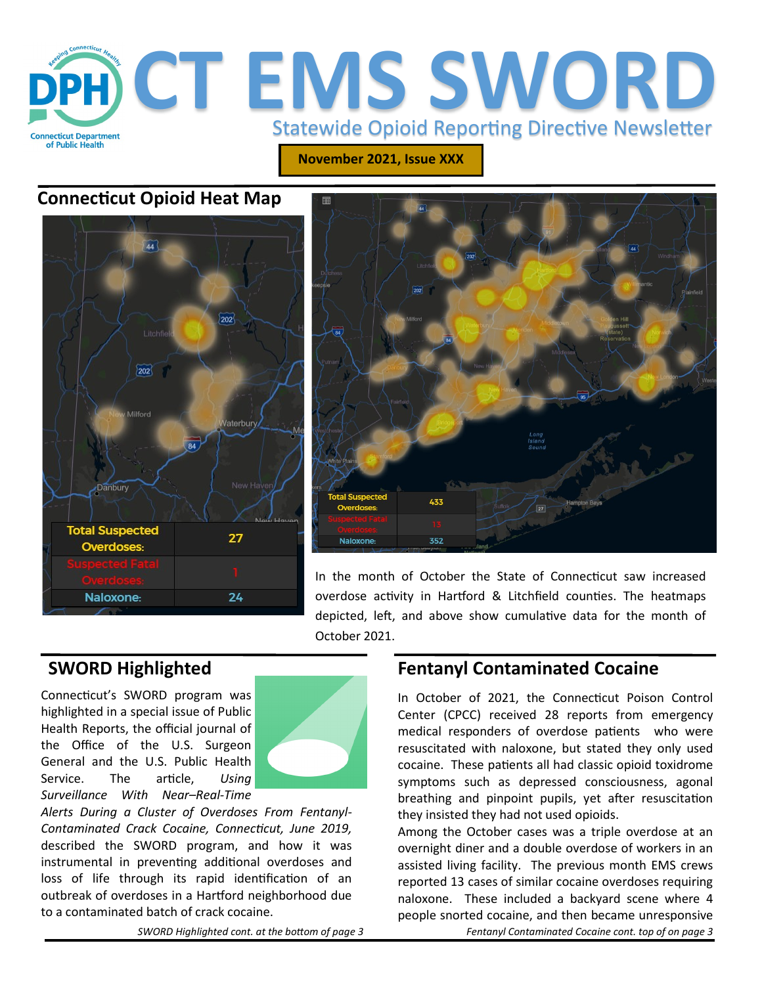

**November 2021, Issue XXX**

## **Connecticut Opioid Heat Map**





In the month of October the State of Connecticut saw increased overdose activity in Hartford & Litchfield counties. The heatmaps depicted, left, and above show cumulative data for the month of October 2021.

# **SWORD Highlighted**

Connecticut's SWORD program was highlighted in a special issue of Public Health Reports, the official journal of the Office of the U.S. Surgeon General and the U.S. Public Health Service. The article, *Using Surveillance With Near–Real-Time* 



*Alerts During a Cluster of Overdoses From Fentanyl-Contaminated Crack Cocaine, Connecticut, June 2019,*  described the SWORD program, and how it was instrumental in preventing additional overdoses and loss of life through its rapid identification of an outbreak of overdoses in a Hartford neighborhood due to a contaminated batch of crack cocaine.

*SWORD Highlighted cont. at the bottom of page 3*

### **Fentanyl Contaminated Cocaine**

In October of 2021, the Connecticut Poison Control Center (CPCC) received 28 reports from emergency medical responders of overdose patients who were resuscitated with naloxone, but stated they only used cocaine. These patients all had classic opioid toxidrome symptoms such as depressed consciousness, agonal breathing and pinpoint pupils, yet after resuscitation they insisted they had not used opioids.

Among the October cases was a triple overdose at an overnight diner and a double overdose of workers in an assisted living facility. The previous month EMS crews reported 13 cases of similar cocaine overdoses requiring naloxone. These included a backyard scene where 4 people snorted cocaine, and then became unresponsive

*Fentanyl Contaminated Cocaine cont. top of on page 3*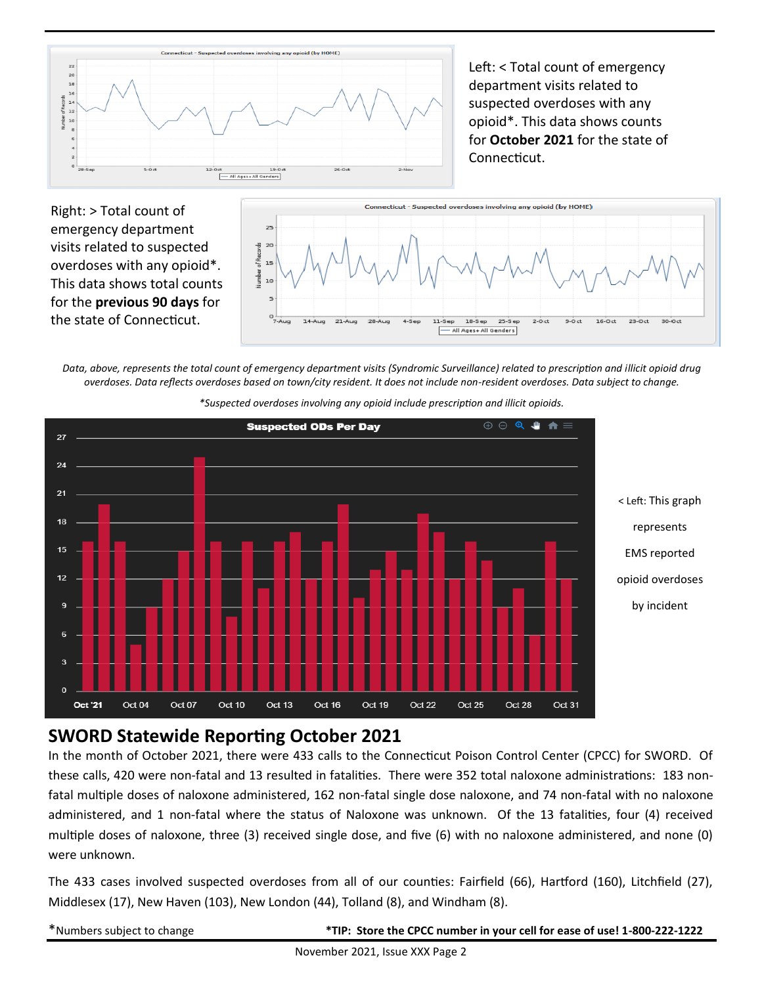

Left: < Total count of emergency department visits related to suspected overdoses with any opioid\*. This data shows counts for **October 2021** for the state of Connecticut.

Right: > Total count of emergency department visits related to suspected overdoses with any opioid\*. This data shows total counts for the **previous 90 days** for the state of Connecticut.



*Data, above, represents the total count of emergency department visits (Syndromic Surveillance) related to prescription and illicit opioid drug overdoses. Data reflects overdoses based on town/city resident. It does not include non-resident overdoses. Data subject to change.* 



*\*Suspected overdoses involving any opioid include prescription and illicit opioids.*

#### **SWORD Statewide Reporting October 2021**

In the month of October 2021, there were 433 calls to the Connecticut Poison Control Center (CPCC) for SWORD. Of these calls, 420 were non-fatal and 13 resulted in fatalities. There were 352 total naloxone administrations: 183 nonfatal multiple doses of naloxone administered, 162 non-fatal single dose naloxone, and 74 non-fatal with no naloxone administered, and 1 non-fatal where the status of Naloxone was unknown. Of the 13 fatalities, four (4) received multiple doses of naloxone, three (3) received single dose, and five (6) with no naloxone administered, and none (0) were unknown.

The 433 cases involved suspected overdoses from all of our counties: Fairfield (66), Hartford (160), Litchfield (27), Middlesex (17), New Haven (103), New London (44), Tolland (8), and Windham (8).

\*Numbers subject to change **\*TIP: Store the CPCC number in your cell for ease of use! 1-800-222-1222**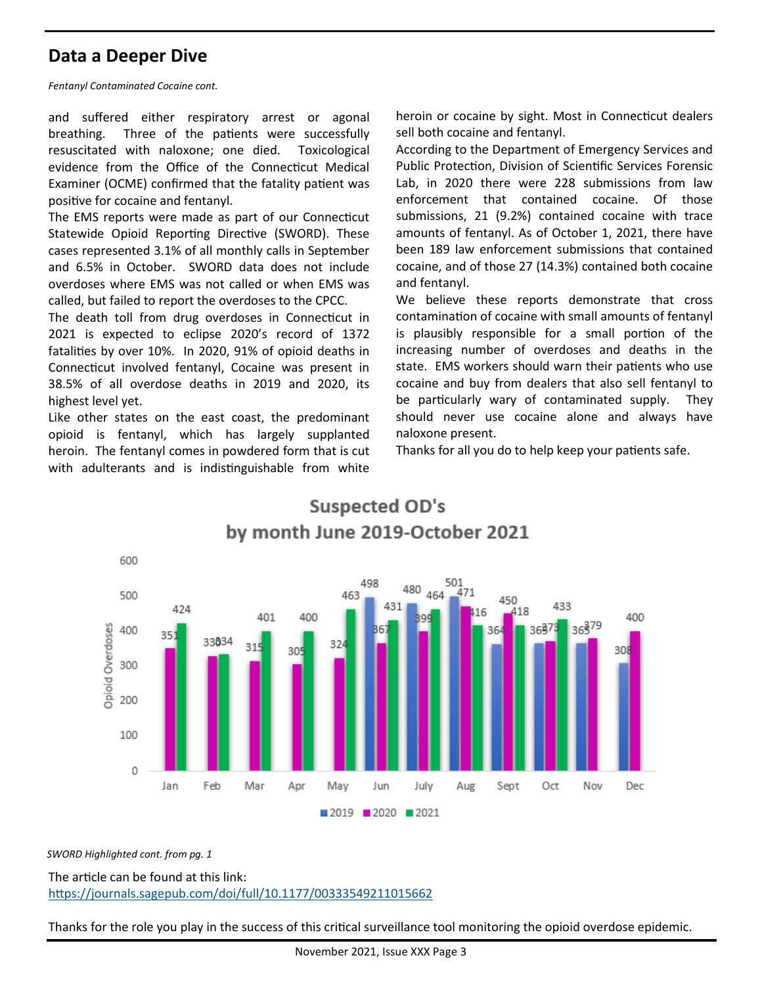### **Data a Deeper Dive**

*Fentanyl Contaminated Cocaine cont.* 

and suffered either respiratory arrest or agonal breathing. Three of the patients were successfully resuscitated with naloxone; one died. Toxicological evidence from the Office of the Connecticut Medical Examiner (OCME) confirmed that the fatality patient was positive for cocaine and fentanyl.

The EMS reports were made as part of our Connecticut Statewide Opioid Reporting Directive (SWORD). These cases represented 3.1% of all monthly calls in September and 6.5% in October. SWORD data does not include overdoses where EMS was not called or when EMS was called, but failed to report the overdoses to the CPCC.

The death toll from drug overdoses in Connecticut in 2021 is expected to eclipse 2020's record of 1372 fatalities by over 10%. In 2020, 91% of opioid deaths in Connecticut involved fentanyl, Cocaine was present in 38.5% of all overdose deaths in 2019 and 2020, its highest level yet.

Like other states on the east coast, the predominant opioid is fentanyl, which has largely supplanted heroin. The fentanyl comes in powdered form that is cut with adulterants and is indistinguishable from white

heroin or cocaine by sight. Most in Connecticut dealers sell both cocaine and fentanyl.

According to the Department of Emergency Services and Public Protection, Division of Scientific Services Forensic Lab, in 2020 there were 228 submissions from law enforcement that contained cocaine. Of those submissions, 21 (9.2%) contained cocaine with trace amounts of fentanyl. As of October 1, 2021, there have been 189 law enforcement submissions that contained cocaine, and of those 27 (14.3%) contained both cocaine and fentanyl.

We believe these reports demonstrate that cross contamination of cocaine with small amounts of fentanyl is plausibly responsible for a small portion of the increasing number of overdoses and deaths in the state. EMS workers should warn their patients who use cocaine and buy from dealers that also sell fentanyl to be particularly wary of contaminated supply. They should never use cocaine alone and always have naloxone present.

Thanks for all you do to help keep your patients safe.



*SWORD Highlighted cont. from pg. 1*

The article can be found at this link: <https://journals.sagepub.com/doi/full/10.1177/00333549211015662>

Thanks for the role you play in the success of this critical surveillance tool monitoring the opioid overdose epidemic.